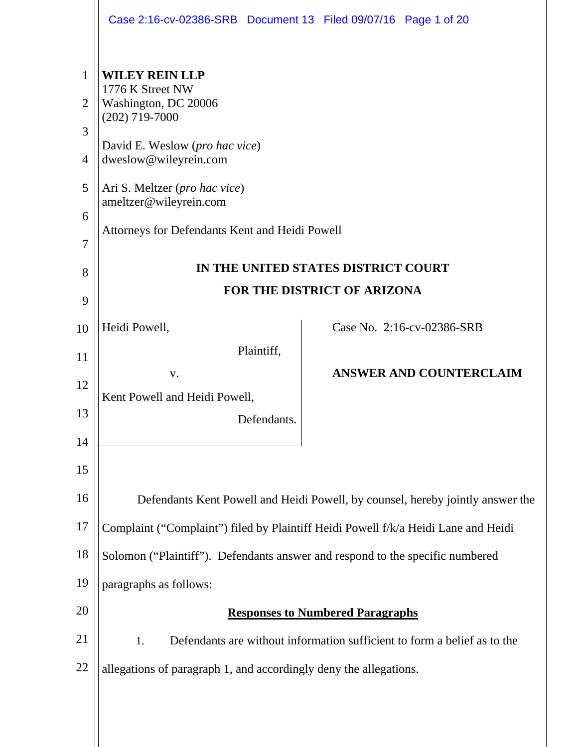|                                                           | Case 2:16-cv-02386-SRB Document 13 Filed 09/07/16 Page 1 of 20                                                                                                                                                                                                                                                |                                |
|-----------------------------------------------------------|---------------------------------------------------------------------------------------------------------------------------------------------------------------------------------------------------------------------------------------------------------------------------------------------------------------|--------------------------------|
| 1<br>$\overline{2}$<br>3<br>$\overline{4}$<br>5<br>6<br>7 | <b>WILEY REIN LLP</b><br>1776 K Street NW<br>Washington, DC 20006<br>$(202)$ 719-7000<br>David E. Weslow (pro hac vice)<br>dweslow@wileyrein.com<br>Ari S. Meltzer ( <i>pro hac vice</i> )<br>ameltzer@wileyrein.com<br>Attorneys for Defendants Kent and Heidi Powell<br>IN THE UNITED STATES DISTRICT COURT |                                |
| 8                                                         | FOR THE DISTRICT OF ARIZONA                                                                                                                                                                                                                                                                                   |                                |
| 9                                                         |                                                                                                                                                                                                                                                                                                               |                                |
| 10                                                        | Heidi Powell,                                                                                                                                                                                                                                                                                                 | Case No. 2:16-cv-02386-SRB     |
| 11                                                        | Plaintiff,                                                                                                                                                                                                                                                                                                    |                                |
| 12                                                        | V.                                                                                                                                                                                                                                                                                                            | <b>ANSWER AND COUNTERCLAIM</b> |
| 13                                                        | Kent Powell and Heidi Powell,<br>Defendants.                                                                                                                                                                                                                                                                  |                                |
| 14                                                        |                                                                                                                                                                                                                                                                                                               |                                |
| 15                                                        |                                                                                                                                                                                                                                                                                                               |                                |
| 16                                                        | Defendants Kent Powell and Heidi Powell, by counsel, hereby jointly answer the                                                                                                                                                                                                                                |                                |
| 17                                                        | Complaint ("Complaint") filed by Plaintiff Heidi Powell f/k/a Heidi Lane and Heidi                                                                                                                                                                                                                            |                                |
| 18                                                        | Solomon ("Plaintiff"). Defendants answer and respond to the specific numbered                                                                                                                                                                                                                                 |                                |
| 19                                                        | paragraphs as follows:                                                                                                                                                                                                                                                                                        |                                |
| 20                                                        | <b>Responses to Numbered Paragraphs</b>                                                                                                                                                                                                                                                                       |                                |
| 21                                                        | Defendants are without information sufficient to form a belief as to the<br>1.                                                                                                                                                                                                                                |                                |
| 22                                                        | allegations of paragraph 1, and accordingly deny the allegations.                                                                                                                                                                                                                                             |                                |
|                                                           |                                                                                                                                                                                                                                                                                                               |                                |

 $\parallel$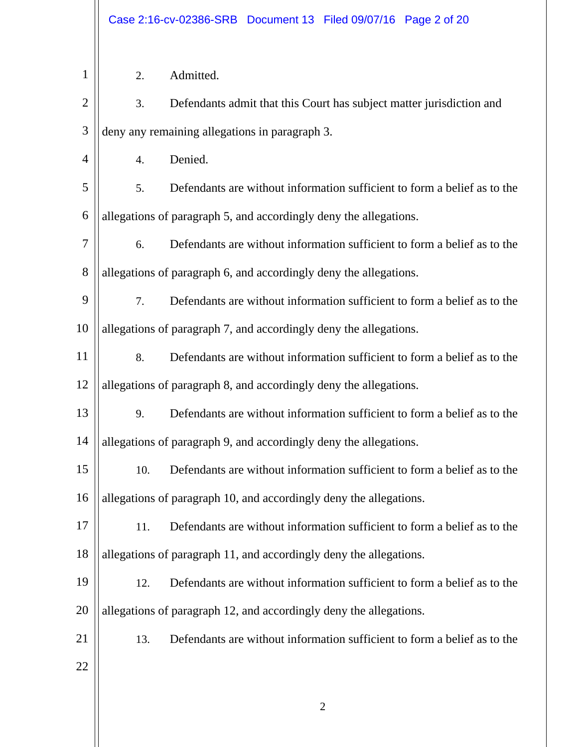|                | Case 2:16-cv-02386-SRB Document 13 Filed 09/07/16 Page 2 of 20                  |
|----------------|---------------------------------------------------------------------------------|
|                |                                                                                 |
| $\mathbf{1}$   | Admitted.<br>2.                                                                 |
| $\overline{2}$ | 3.<br>Defendants admit that this Court has subject matter jurisdiction and      |
| 3              | deny any remaining allegations in paragraph 3.                                  |
| 4              | Denied.<br>$\overline{4}$ .                                                     |
| 5              | 5.<br>Defendants are without information sufficient to form a belief as to the  |
| 6              | allegations of paragraph 5, and accordingly deny the allegations.               |
| 7              | Defendants are without information sufficient to form a belief as to the<br>6.  |
| 8              | allegations of paragraph 6, and accordingly deny the allegations.               |
| 9              | Defendants are without information sufficient to form a belief as to the<br>7.  |
| 10             | allegations of paragraph 7, and accordingly deny the allegations.               |
| 11             | Defendants are without information sufficient to form a belief as to the<br>8.  |
| 12             | allegations of paragraph 8, and accordingly deny the allegations.               |
| 13             | Defendants are without information sufficient to form a belief as to the<br>9.  |
| 14             | allegations of paragraph 9, and accordingly deny the allegations.               |
| 15             | Defendants are without information sufficient to form a belief as to the<br>10. |
| 16             | allegations of paragraph 10, and accordingly deny the allegations.              |
| 17             | Defendants are without information sufficient to form a belief as to the<br>11. |
| 18             | allegations of paragraph 11, and accordingly deny the allegations.              |
| 19             | Defendants are without information sufficient to form a belief as to the<br>12. |
| 20             | allegations of paragraph 12, and accordingly deny the allegations.              |
| 21             | Defendants are without information sufficient to form a belief as to the<br>13. |
| 22             |                                                                                 |
|                | $\overline{2}$                                                                  |
|                |                                                                                 |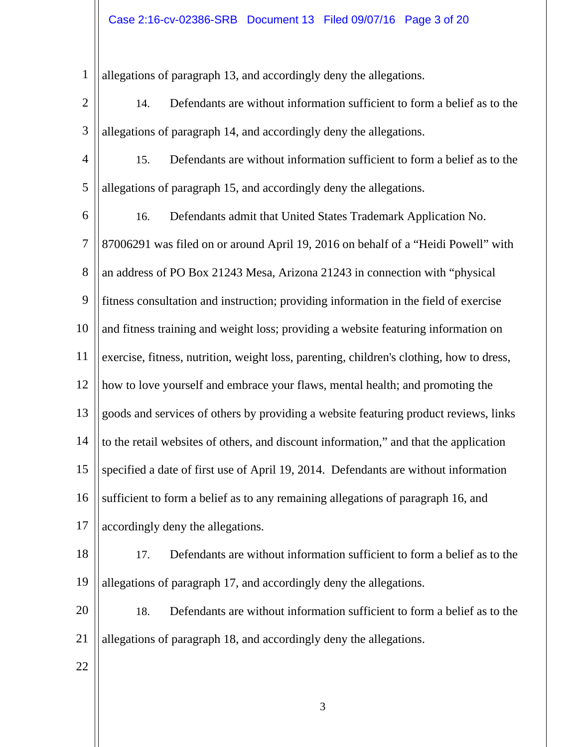1 allegations of paragraph 13, and accordingly deny the allegations.

- 2 3 14. Defendants are without information sufficient to form a belief as to the allegations of paragraph 14, and accordingly deny the allegations.
- 4 5 15. Defendants are without information sufficient to form a belief as to the allegations of paragraph 15, and accordingly deny the allegations.

6 7 8 9 10 11 12 13 14 15 16 17 16. Defendants admit that United States Trademark Application No. 87006291 was filed on or around April 19, 2016 on behalf of a "Heidi Powell" with an address of PO Box 21243 Mesa, Arizona 21243 in connection with "physical fitness consultation and instruction; providing information in the field of exercise and fitness training and weight loss; providing a website featuring information on exercise, fitness, nutrition, weight loss, parenting, children's clothing, how to dress, how to love yourself and embrace your flaws, mental health; and promoting the goods and services of others by providing a website featuring product reviews, links to the retail websites of others, and discount information," and that the application specified a date of first use of April 19, 2014. Defendants are without information sufficient to form a belief as to any remaining allegations of paragraph 16, and accordingly deny the allegations.

- 18 19 17. Defendants are without information sufficient to form a belief as to the allegations of paragraph 17, and accordingly deny the allegations.
- 20 21 18. Defendants are without information sufficient to form a belief as to the allegations of paragraph 18, and accordingly deny the allegations.
- 22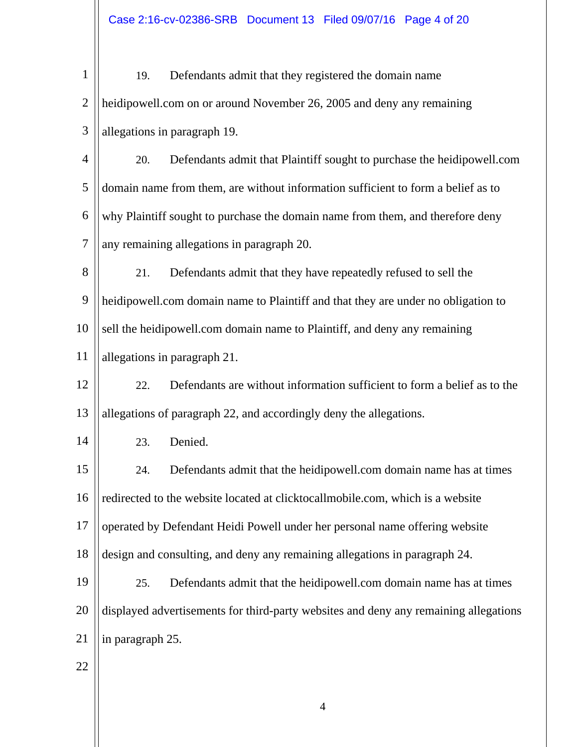| $1 \parallel$ | Defendants admit that they registered the domain name<br>19.               |
|---------------|----------------------------------------------------------------------------|
|               | 2    heidipowell.com on or around November 26, 2005 and deny any remaining |
|               | $3$   allegations in paragraph 19.                                         |

4 5 6 7 20. Defendants admit that Plaintiff sought to purchase the heidipowell.com domain name from them, are without information sufficient to form a belief as to why Plaintiff sought to purchase the domain name from them, and therefore deny any remaining allegations in paragraph 20.

8 9 10 11 21. Defendants admit that they have repeatedly refused to sell the heidipowell.com domain name to Plaintiff and that they are under no obligation to sell the heidipowell.com domain name to Plaintiff, and deny any remaining allegations in paragraph 21.

12 13 22. Defendants are without information sufficient to form a belief as to the allegations of paragraph 22, and accordingly deny the allegations.

14

23. Denied.

15 16 17 18 19 20 21 24. Defendants admit that the heidipowell.com domain name has at times redirected to the website located at clicktocallmobile.com, which is a website operated by Defendant Heidi Powell under her personal name offering website design and consulting, and deny any remaining allegations in paragraph 24. 25. Defendants admit that the heidipowell.com domain name has at times displayed advertisements for third-party websites and deny any remaining allegations in paragraph 25.

22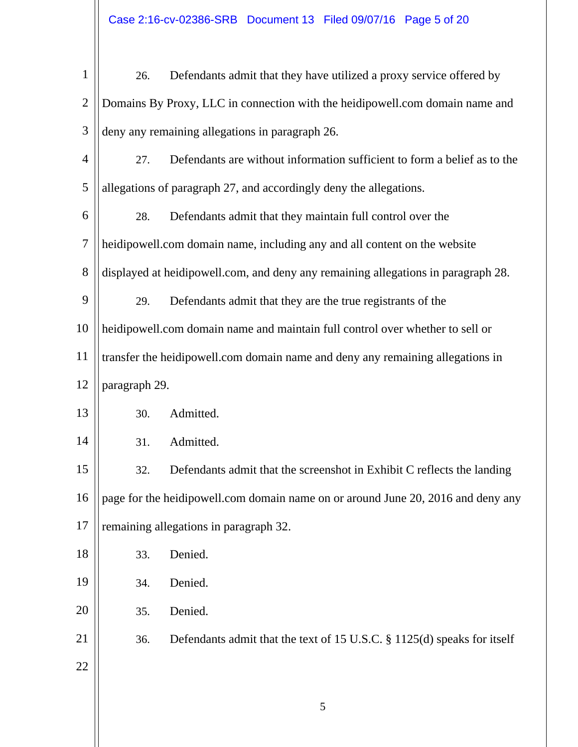| $\mathbf{1}$   | 26.                                                                               | Defendants admit that they have utilized a proxy service offered by              |
|----------------|-----------------------------------------------------------------------------------|----------------------------------------------------------------------------------|
| $\mathbf{2}$   |                                                                                   | Domains By Proxy, LLC in connection with the heidipowell.com domain name and     |
| 3              |                                                                                   | deny any remaining allegations in paragraph 26.                                  |
| $\overline{4}$ | 27.                                                                               | Defendants are without information sufficient to form a belief as to the         |
| 5              |                                                                                   | allegations of paragraph 27, and accordingly deny the allegations.               |
| 6              | 28.                                                                               | Defendants admit that they maintain full control over the                        |
| $\overline{7}$ | heidipowell.com domain name, including any and all content on the website         |                                                                                  |
| 8              | displayed at heidipowell.com, and deny any remaining allegations in paragraph 28. |                                                                                  |
| 9              | 29.                                                                               | Defendants admit that they are the true registrants of the                       |
| 10             | heidipowell.com domain name and maintain full control over whether to sell or     |                                                                                  |
| 11             | transfer the heidipowell.com domain name and deny any remaining allegations in    |                                                                                  |
| 12             | paragraph 29.                                                                     |                                                                                  |
| 13             | 30.                                                                               | Admitted.                                                                        |
| 14             | 31.                                                                               | Admitted.                                                                        |
| 15             | 32.                                                                               | Defendants admit that the screenshot in Exhibit C reflects the landing           |
| 16             |                                                                                   | page for the heidipowell.com domain name on or around June 20, 2016 and deny any |
| 17             | remaining allegations in paragraph 32.                                            |                                                                                  |
| 18             | 33.                                                                               | Denied.                                                                          |
| 19             | 34.                                                                               | Denied.                                                                          |
| 20             | 35.                                                                               | Denied.                                                                          |
| 21             | 36.                                                                               | Defendants admit that the text of 15 U.S.C. § 1125(d) speaks for itself          |
| 22             |                                                                                   |                                                                                  |
|                |                                                                                   |                                                                                  |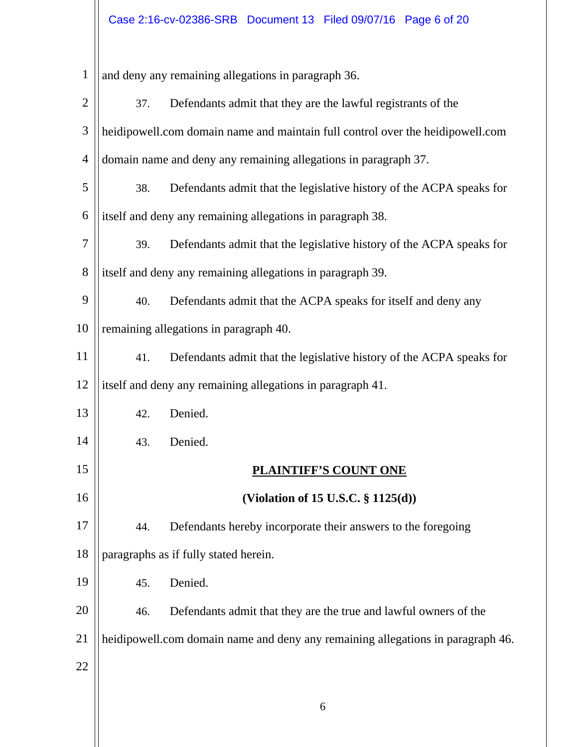| $\mathbf{1}$   |                                                            | and deny any remaining allegations in paragraph 36.                             |
|----------------|------------------------------------------------------------|---------------------------------------------------------------------------------|
| $\overline{2}$ | 37.                                                        | Defendants admit that they are the lawful registrants of the                    |
| 3              |                                                            | heidipowell.com domain name and maintain full control over the heidipowell.com  |
| $\overline{4}$ |                                                            | domain name and deny any remaining allegations in paragraph 37.                 |
| 5              | 38.                                                        | Defendants admit that the legislative history of the ACPA speaks for            |
| 6              | itself and deny any remaining allegations in paragraph 38. |                                                                                 |
| 7              | 39.                                                        | Defendants admit that the legislative history of the ACPA speaks for            |
| 8              |                                                            | itself and deny any remaining allegations in paragraph 39.                      |
| 9              | 40.                                                        | Defendants admit that the ACPA speaks for itself and deny any                   |
| 10             |                                                            | remaining allegations in paragraph 40.                                          |
| 11             | 41.                                                        | Defendants admit that the legislative history of the ACPA speaks for            |
| 12             |                                                            | itself and deny any remaining allegations in paragraph 41.                      |
| 13             | 42.                                                        | Denied.                                                                         |
| 14             | 43.                                                        | Denied.                                                                         |
| 15             |                                                            | <b>PLAINTIFF'S COUNT ONE</b>                                                    |
| 16             |                                                            | (Violation of 15 U.S.C. $\S$ 1125(d))                                           |
| 17             | 44.                                                        | Defendants hereby incorporate their answers to the foregoing                    |
| 18             |                                                            | paragraphs as if fully stated herein.                                           |
| 19             | 45.                                                        | Denied.                                                                         |
| 20             | 46.                                                        | Defendants admit that they are the true and lawful owners of the                |
| 21             |                                                            | heidipowell.com domain name and deny any remaining allegations in paragraph 46. |
| 22             |                                                            |                                                                                 |
|                |                                                            |                                                                                 |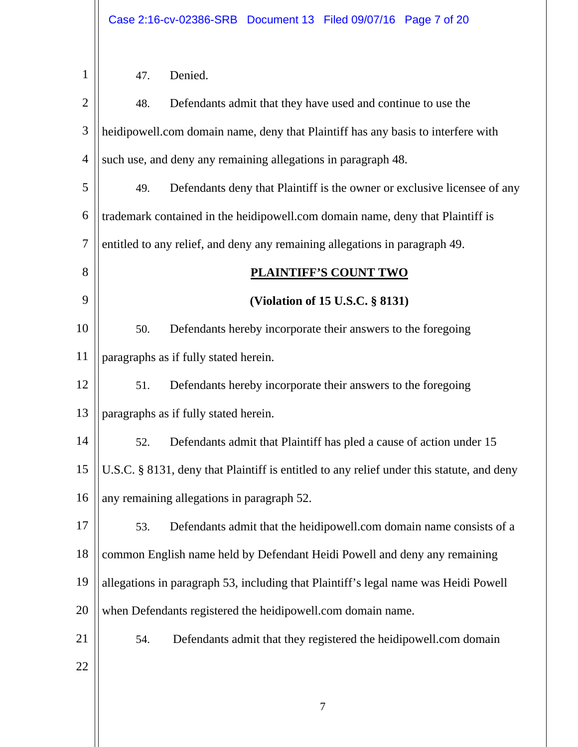| $\mathbf{1}$   | Denied.<br>47.                                                                            |
|----------------|-------------------------------------------------------------------------------------------|
| $\overline{2}$ | 48.<br>Defendants admit that they have used and continue to use the                       |
| 3              | heidipowell.com domain name, deny that Plaintiff has any basis to interfere with          |
| $\overline{4}$ | such use, and deny any remaining allegations in paragraph 48.                             |
| 5              | Defendants deny that Plaintiff is the owner or exclusive licensee of any<br>49.           |
| 6              | trademark contained in the heidipowell.com domain name, deny that Plaintiff is            |
| $\overline{7}$ | entitled to any relief, and deny any remaining allegations in paragraph 49.               |
| 8              | PLAINTIFF'S COUNT TWO                                                                     |
| 9              | (Violation of 15 U.S.C. § 8131)                                                           |
| 10             | Defendants hereby incorporate their answers to the foregoing<br>50.                       |
| 11             | paragraphs as if fully stated herein.                                                     |
| 12             | Defendants hereby incorporate their answers to the foregoing<br>51.                       |
| 13             | paragraphs as if fully stated herein.                                                     |
| 14             | Defendants admit that Plaintiff has pled a cause of action under 15<br>52.                |
| 15             | U.S.C. § 8131, deny that Plaintiff is entitled to any relief under this statute, and deny |
| 16             | any remaining allegations in paragraph 52.                                                |
| 17             | Defendants admit that the heidipowell.com domain name consists of a<br>53.                |
| 18             | common English name held by Defendant Heidi Powell and deny any remaining                 |
| 19             | allegations in paragraph 53, including that Plaintiff's legal name was Heidi Powell       |
| 20             | when Defendants registered the heidipowell.com domain name.                               |
| 21             | Defendants admit that they registered the heidipowell.com domain<br>54.                   |
| 22             |                                                                                           |
|                |                                                                                           |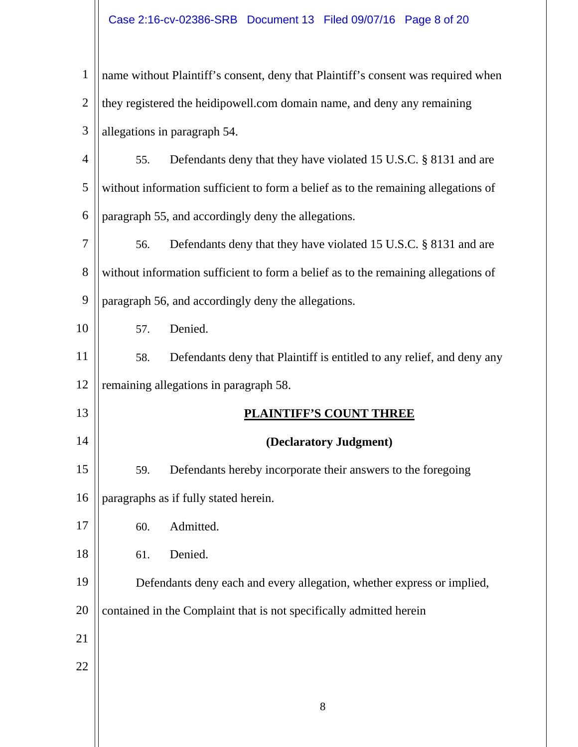| 1    name without Plaintiff's consent, deny that Plaintiff's consent was required when |
|----------------------------------------------------------------------------------------|
| 2 $\parallel$ they registered the heidipowell.com domain name, and deny any remaining  |
| $3$   allegations in paragraph 54.                                                     |
|                                                                                        |

4 5 6 55. Defendants deny that they have violated 15 U.S.C. § 8131 and are without information sufficient to form a belief as to the remaining allegations of paragraph 55, and accordingly deny the allegations.

7 8 9 56. Defendants deny that they have violated 15 U.S.C. § 8131 and are without information sufficient to form a belief as to the remaining allegations of paragraph 56, and accordingly deny the allegations.

10 57. Denied.

11 12 58. Defendants deny that Plaintiff is entitled to any relief, and deny any remaining allegations in paragraph 58.

### **PLAINTIFF'S COUNT THREE**

## **(Declaratory Judgment)**

15 16 59. Defendants hereby incorporate their answers to the foregoing paragraphs as if fully stated herein.

17 60. Admitted.

18 61. Denied.

19 Defendants deny each and every allegation, whether express or implied,

20 contained in the Complaint that is not specifically admitted herein

21

13

14

22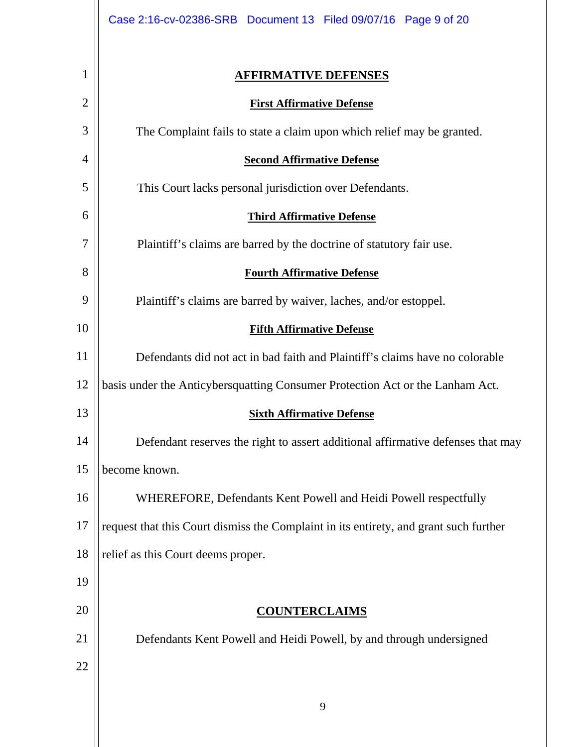|                | Case 2:16-cv-02386-SRB Document 13 Filed 09/07/16 Page 9 of 20                        |
|----------------|---------------------------------------------------------------------------------------|
| 1              | <b>AFFIRMATIVE DEFENSES</b>                                                           |
| $\overline{2}$ | <b>First Affirmative Defense</b>                                                      |
| 3              | The Complaint fails to state a claim upon which relief may be granted.                |
| 4              | <b>Second Affirmative Defense</b>                                                     |
| 5              | This Court lacks personal jurisdiction over Defendants.                               |
| 6              | <b>Third Affirmative Defense</b>                                                      |
| 7              | Plaintiff's claims are barred by the doctrine of statutory fair use.                  |
| 8              | <b>Fourth Affirmative Defense</b>                                                     |
| 9              | Plaintiff's claims are barred by waiver, laches, and/or estoppel.                     |
| 10             | <b>Fifth Affirmative Defense</b>                                                      |
| 11             | Defendants did not act in bad faith and Plaintiff's claims have no colorable          |
| 12             | basis under the Anticybersquatting Consumer Protection Act or the Lanham Act.         |
| 13             | <b>Sixth Affirmative Defense</b>                                                      |
| 14             | Defendant reserves the right to assert additional affirmative defenses that may       |
| 15             | become known.                                                                         |
| 16             | WHEREFORE, Defendants Kent Powell and Heidi Powell respectfully                       |
| 17             | request that this Court dismiss the Complaint in its entirety, and grant such further |
| 18             | relief as this Court deems proper.                                                    |
| 19             |                                                                                       |
| 20             | <b>COUNTERCLAIMS</b>                                                                  |
| 21             | Defendants Kent Powell and Heidi Powell, by and through undersigned                   |
| 22             |                                                                                       |
|                | 9                                                                                     |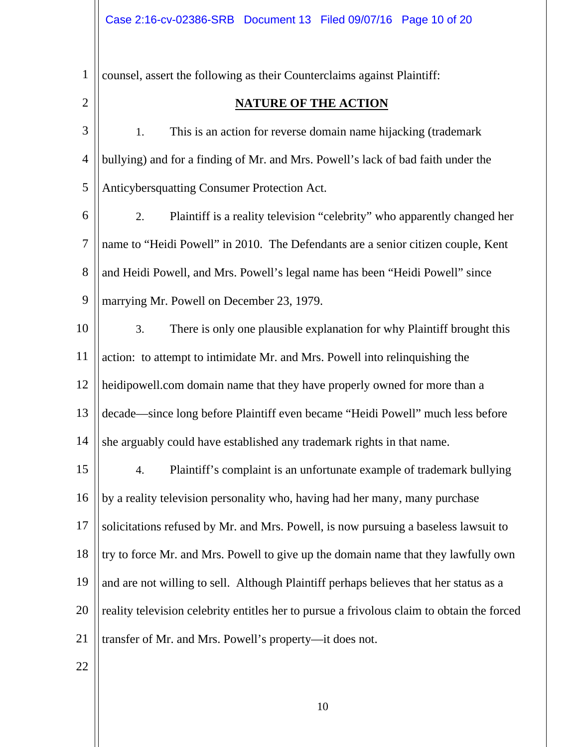1 counsel, assert the following as their Counterclaims against Plaintiff:

## 2

#### **NATURE OF THE ACTION**

- 3 4 5 1. This is an action for reverse domain name hijacking (trademark bullying) and for a finding of Mr. and Mrs. Powell's lack of bad faith under the Anticybersquatting Consumer Protection Act.
- 6 7 8 9 2. Plaintiff is a reality television "celebrity" who apparently changed her name to "Heidi Powell" in 2010. The Defendants are a senior citizen couple, Kent and Heidi Powell, and Mrs. Powell's legal name has been "Heidi Powell" since marrying Mr. Powell on December 23, 1979.
- 10 11 12 13 14 3. There is only one plausible explanation for why Plaintiff brought this action: to attempt to intimidate Mr. and Mrs. Powell into relinquishing the heidipowell.com domain name that they have properly owned for more than a decade—since long before Plaintiff even became "Heidi Powell" much less before she arguably could have established any trademark rights in that name.
- 15 16 17 18 19 20 21 4. Plaintiff's complaint is an unfortunate example of trademark bullying by a reality television personality who, having had her many, many purchase solicitations refused by Mr. and Mrs. Powell, is now pursuing a baseless lawsuit to try to force Mr. and Mrs. Powell to give up the domain name that they lawfully own and are not willing to sell. Although Plaintiff perhaps believes that her status as a reality television celebrity entitles her to pursue a frivolous claim to obtain the forced transfer of Mr. and Mrs. Powell's property—it does not.
- 22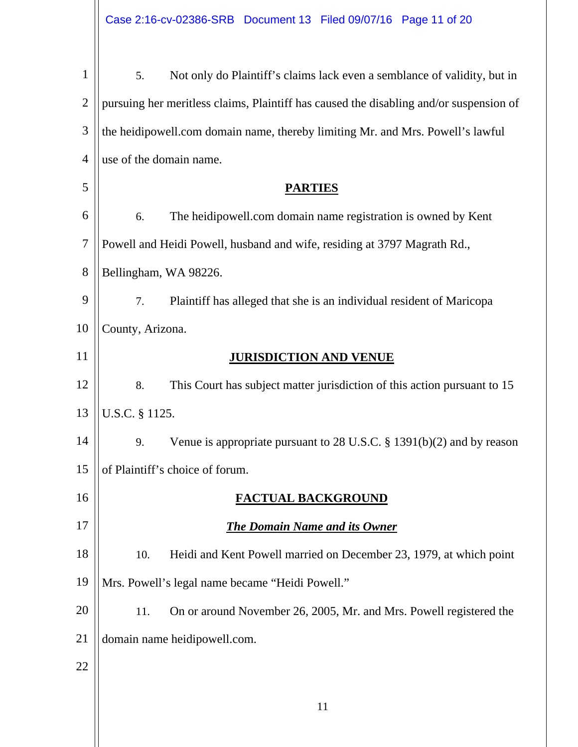| $\mathbf{1}$   | 5.                      | Not only do Plaintiff's claims lack even a semblance of validity, but in               |
|----------------|-------------------------|----------------------------------------------------------------------------------------|
| $\overline{2}$ |                         | pursuing her meritless claims, Plaintiff has caused the disabling and/or suspension of |
| 3              |                         | the heidipowell.com domain name, thereby limiting Mr. and Mrs. Powell's lawful         |
| 4              | use of the domain name. |                                                                                        |
| 5              |                         | <b>PARTIES</b>                                                                         |
| 6              | 6.                      | The heidipowell.com domain name registration is owned by Kent                          |
| 7              |                         | Powell and Heidi Powell, husband and wife, residing at 3797 Magrath Rd.,               |
| 8              | Bellingham, WA 98226.   |                                                                                        |
| 9              | 7.                      | Plaintiff has alleged that she is an individual resident of Maricopa                   |
| 10             | County, Arizona.        |                                                                                        |
| 11             |                         | <b>JURISDICTION AND VENUE</b>                                                          |
| 12             | 8.                      | This Court has subject matter jurisdiction of this action pursuant to 15               |
| 13             | U.S.C. § 1125.          |                                                                                        |
| 14             | 9.                      | Venue is appropriate pursuant to 28 U.S.C. $\S$ 1391(b)(2) and by reason               |
| 15             |                         | of Plaintiff's choice of forum.                                                        |
| 16             |                         | <b>FACTUAL BACKGROUND</b>                                                              |
| 17             |                         | <b>The Domain Name and its Owner</b>                                                   |
| 18             | 10.                     | Heidi and Kent Powell married on December 23, 1979, at which point                     |
| 19             |                         | Mrs. Powell's legal name became "Heidi Powell."                                        |
| 20             | 11.                     | On or around November 26, 2005, Mr. and Mrs. Powell registered the                     |
| 21             |                         | domain name heidipowell.com.                                                           |
| 22             |                         |                                                                                        |
|                |                         |                                                                                        |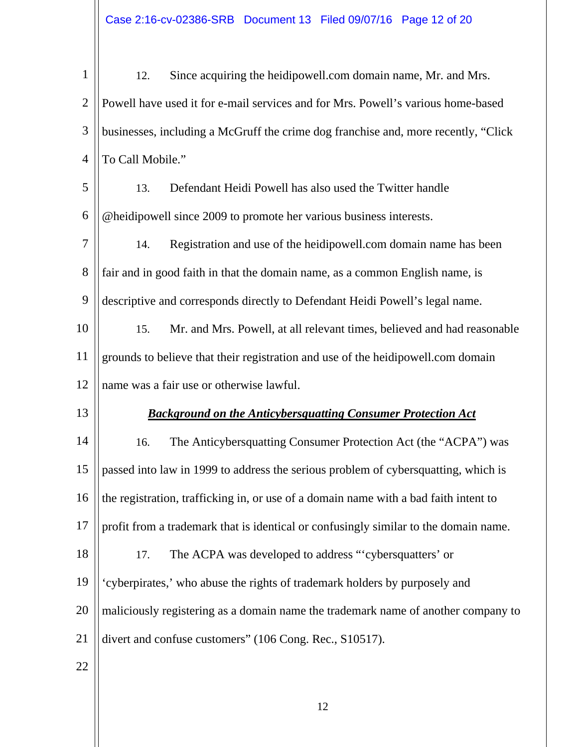1 2 3 4 12. Since acquiring the heidipowell.com domain name, Mr. and Mrs. Powell have used it for e-mail services and for Mrs. Powell's various home-based businesses, including a McGruff the crime dog franchise and, more recently, "Click To Call Mobile."

5 6 13. Defendant Heidi Powell has also used the Twitter handle @heidipowell since 2009 to promote her various business interests.

7 8 9 10 14. Registration and use of the heidipowell.com domain name has been fair and in good faith in that the domain name, as a common English name, is descriptive and corresponds directly to Defendant Heidi Powell's legal name. 15. Mr. and Mrs. Powell, at all relevant times, believed and had reasonable

11 12 grounds to believe that their registration and use of the heidipowell.com domain name was a fair use or otherwise lawful.

13

22

#### *Background on the Anticybersquatting Consumer Protection Act*

14 15 16 17 18 19 20 21 16. The Anticybersquatting Consumer Protection Act (the "ACPA") was passed into law in 1999 to address the serious problem of cybersquatting, which is the registration, trafficking in, or use of a domain name with a bad faith intent to profit from a trademark that is identical or confusingly similar to the domain name. 17. The ACPA was developed to address "'cybersquatters' or 'cyberpirates,' who abuse the rights of trademark holders by purposely and maliciously registering as a domain name the trademark name of another company to divert and confuse customers" (106 Cong. Rec., S10517).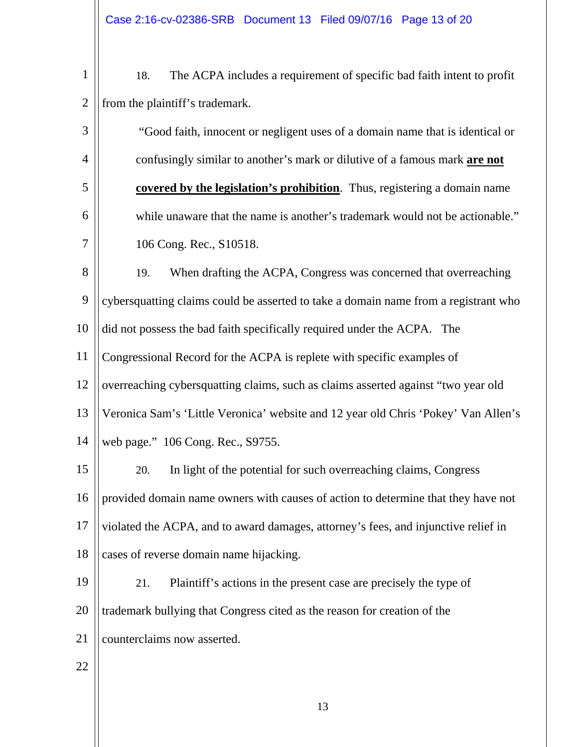| $\mathbf{1}$   | The ACPA includes a requirement of specific bad faith intent to profit<br>18.       |  |
|----------------|-------------------------------------------------------------------------------------|--|
| $\mathbf{2}$   | from the plaintiff's trademark.                                                     |  |
| 3              | "Good faith, innocent or negligent uses of a domain name that is identical or       |  |
| $\overline{4}$ | confusingly similar to another's mark or dilutive of a famous mark are not          |  |
| 5              | covered by the legislation's prohibition. Thus, registering a domain name           |  |
| 6              | while unaware that the name is another's trademark would not be actionable."        |  |
| 7              | 106 Cong. Rec., S10518.                                                             |  |
| 8              | When drafting the ACPA, Congress was concerned that overreaching<br>19.             |  |
| 9              | cybersquatting claims could be asserted to take a domain name from a registrant who |  |
| 10             | did not possess the bad faith specifically required under the ACPA. The             |  |
| 11             | Congressional Record for the ACPA is replete with specific examples of              |  |
| 12             | overreaching cybersquatting claims, such as claims asserted against "two year old   |  |
| 13             | Veronica Sam's 'Little Veronica' website and 12 year old Chris 'Pokey' Van Allen's  |  |
| 14             | web page." 106 Cong. Rec., S9755.                                                   |  |
| 15             | In light of the potential for such overreaching claims, Congress<br>20.             |  |
| 16             | provided domain name owners with causes of action to determine that they have not   |  |
| 17             | violated the ACPA, and to award damages, attorney's fees, and injunctive relief in  |  |
| 18             | cases of reverse domain name hijacking.                                             |  |
| 19             | Plaintiff's actions in the present case are precisely the type of<br>21.            |  |
| 20             | trademark bullying that Congress cited as the reason for creation of the            |  |
| 21             | counterclaims now asserted.                                                         |  |
| 22             |                                                                                     |  |
|                |                                                                                     |  |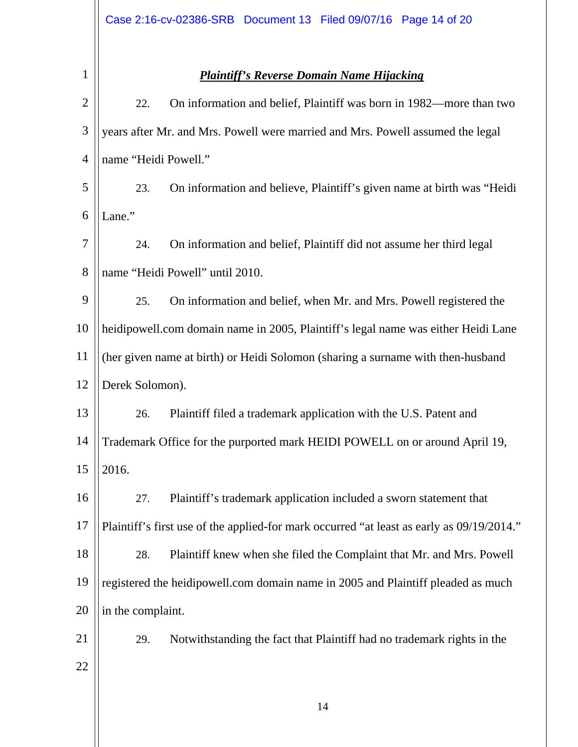1

| $\mathbf 2$    | 22.                                                                             | On information and belief, Plaintiff was born in 1982—more than two                       |
|----------------|---------------------------------------------------------------------------------|-------------------------------------------------------------------------------------------|
| 3              |                                                                                 | years after Mr. and Mrs. Powell were married and Mrs. Powell assumed the legal            |
| $\overline{4}$ | name "Heidi Powell."                                                            |                                                                                           |
| 5              | 23.                                                                             | On information and believe, Plaintiff's given name at birth was "Heidi                    |
| 6              | Lane."                                                                          |                                                                                           |
| $\overline{7}$ |                                                                                 |                                                                                           |
|                | 24.                                                                             | On information and belief, Plaintiff did not assume her third legal                       |
| 8              |                                                                                 | name "Heidi Powell" until 2010.                                                           |
| 9              | 25.                                                                             | On information and belief, when Mr. and Mrs. Powell registered the                        |
| 10             |                                                                                 | heidipowell.com domain name in 2005, Plaintiff's legal name was either Heidi Lane         |
| 11             | (her given name at birth) or Heidi Solomon (sharing a surname with then-husband |                                                                                           |
| 12             | Derek Solomon).                                                                 |                                                                                           |
| 13             | 26.                                                                             | Plaintiff filed a trademark application with the U.S. Patent and                          |
| 14             |                                                                                 | Trademark Office for the purported mark HEIDI POWELL on or around April 19,               |
| 15             | 2016.                                                                           |                                                                                           |
| 16             | 27.                                                                             | Plaintiff's trademark application included a sworn statement that                         |
| 17             |                                                                                 | Plaintiff's first use of the applied-for mark occurred "at least as early as 09/19/2014." |
| 18             | 28.                                                                             | Plaintiff knew when she filed the Complaint that Mr. and Mrs. Powell                      |
| 19             |                                                                                 | registered the heidipowell.com domain name in 2005 and Plaintiff pleaded as much          |
| 20             | in the complaint.                                                               |                                                                                           |
| 21             | 29.                                                                             | Notwithstanding the fact that Plaintiff had no trademark rights in the                    |
| 22             |                                                                                 |                                                                                           |
|                |                                                                                 |                                                                                           |
|                |                                                                                 | 14                                                                                        |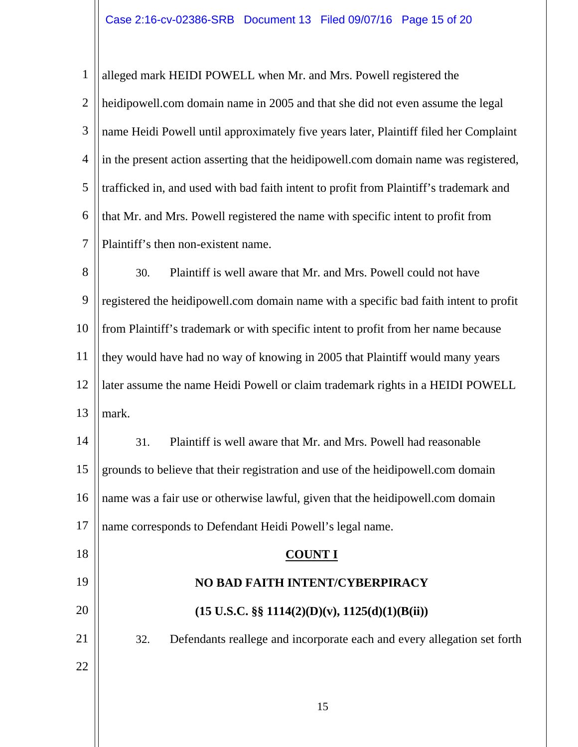1 2 3 4 5 6 7 alleged mark HEIDI POWELL when Mr. and Mrs. Powell registered the heidipowell.com domain name in 2005 and that she did not even assume the legal name Heidi Powell until approximately five years later, Plaintiff filed her Complaint in the present action asserting that the heidipowell.com domain name was registered, trafficked in, and used with bad faith intent to profit from Plaintiff's trademark and that Mr. and Mrs. Powell registered the name with specific intent to profit from Plaintiff's then non-existent name.

8 9 10 11 12 13 30. Plaintiff is well aware that Mr. and Mrs. Powell could not have registered the heidipowell.com domain name with a specific bad faith intent to profit from Plaintiff's trademark or with specific intent to profit from her name because they would have had no way of knowing in 2005 that Plaintiff would many years later assume the name Heidi Powell or claim trademark rights in a HEIDI POWELL mark.

14 15 16 17 31. Plaintiff is well aware that Mr. and Mrs. Powell had reasonable grounds to believe that their registration and use of the heidipowell.com domain name was a fair use or otherwise lawful, given that the heidipowell.com domain name corresponds to Defendant Heidi Powell's legal name.

18

19

20

21

22

#### **COUNT I**

## **NO BAD FAITH INTENT/CYBERPIRACY**

# **(15 U.S.C. §§ 1114(2)(D)(v), 1125(d)(1)(B(ii))**

32. Defendants reallege and incorporate each and every allegation set forth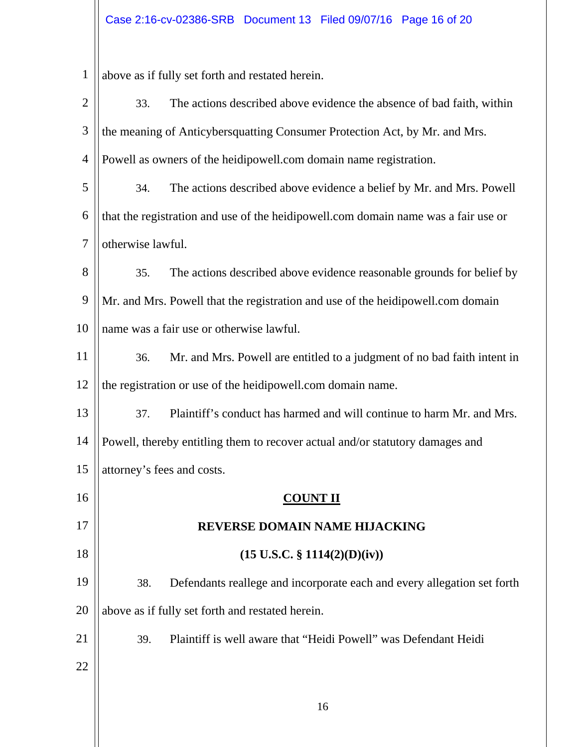| $\mathbf{1}$   | above as if fully set forth and restated herein.                                   |  |
|----------------|------------------------------------------------------------------------------------|--|
| $\overline{2}$ | The actions described above evidence the absence of bad faith, within<br>33.       |  |
| 3              | the meaning of Anticybersquatting Consumer Protection Act, by Mr. and Mrs.         |  |
| $\overline{4}$ | Powell as owners of the heidipowell.com domain name registration.                  |  |
| 5              | The actions described above evidence a belief by Mr. and Mrs. Powell<br>34.        |  |
| 6              | that the registration and use of the heidipowell.com domain name was a fair use or |  |
| $\overline{7}$ | otherwise lawful.                                                                  |  |
| 8              | The actions described above evidence reasonable grounds for belief by<br>35.       |  |
| 9              | Mr. and Mrs. Powell that the registration and use of the heidipowell.com domain    |  |
| 10             | name was a fair use or otherwise lawful.                                           |  |
| 11             | Mr. and Mrs. Powell are entitled to a judgment of no bad faith intent in<br>36.    |  |
| 12             | the registration or use of the heidipowell.com domain name.                        |  |
| 13             | Plaintiff's conduct has harmed and will continue to harm Mr. and Mrs.<br>37.       |  |
| 14             | Powell, thereby entitling them to recover actual and/or statutory damages and      |  |
| 15             | attorney's fees and costs.                                                         |  |
| 16             | <b>COUNT II</b>                                                                    |  |
| 17             | <b>REVERSE DOMAIN NAME HIJACKING</b>                                               |  |
| 18             | $(15 \text{ U.S.C. } § 1114(2)(D)(iv))$                                            |  |
| 19             | Defendants reallege and incorporate each and every allegation set forth<br>38.     |  |
| 20             | above as if fully set forth and restated herein.                                   |  |
| 21             | Plaintiff is well aware that "Heidi Powell" was Defendant Heidi<br>39.             |  |
| 22             |                                                                                    |  |
|                |                                                                                    |  |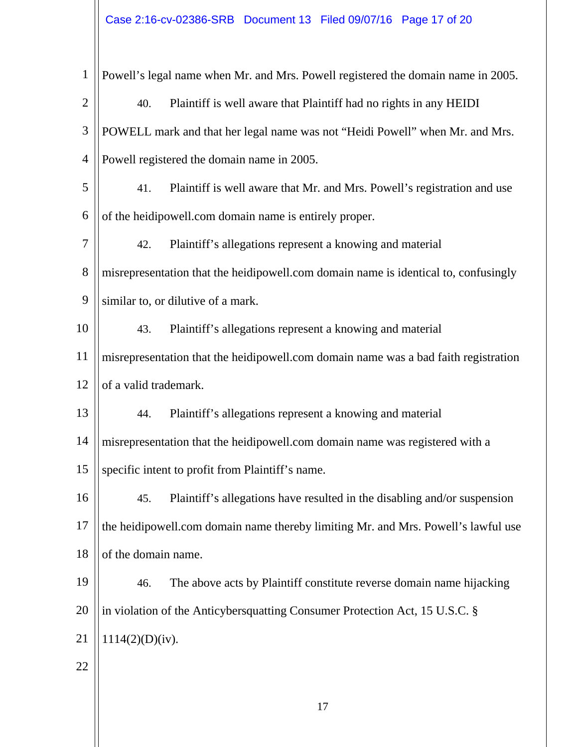| $\mathbf{1}$   | Powell's legal name when Mr. and Mrs. Powell registered the domain name in 2005.    |
|----------------|-------------------------------------------------------------------------------------|
| $\overline{2}$ | Plaintiff is well aware that Plaintiff had no rights in any HEIDI<br>40.            |
| 3              |                                                                                     |
|                | POWELL mark and that her legal name was not "Heidi Powell" when Mr. and Mrs.        |
| $\overline{4}$ | Powell registered the domain name in 2005.                                          |
| 5              | Plaintiff is well aware that Mr. and Mrs. Powell's registration and use<br>41.      |
| 6              | of the heidipowell.com domain name is entirely proper.                              |
| $\overline{7}$ | Plaintiff's allegations represent a knowing and material<br>42.                     |
| 8              | misrepresentation that the heidipowell.com domain name is identical to, confusingly |
| 9              | similar to, or dilutive of a mark.                                                  |
| 10             | Plaintiff's allegations represent a knowing and material<br>43.                     |
| 11             | misrepresentation that the heidipowell.com domain name was a bad faith registration |
| 12             | of a valid trademark.                                                               |
| 13             | Plaintiff's allegations represent a knowing and material<br>44.                     |
| 14             | misrepresentation that the heidipowell.com domain name was registered with a        |
| 15             | specific intent to profit from Plaintiff's name.                                    |
| 16             | Plaintiff's allegations have resulted in the disabling and/or suspension<br>45.     |
| 17             | the heidipowell.com domain name thereby limiting Mr. and Mrs. Powell's lawful use   |
| 18             | of the domain name.                                                                 |
| 19             | The above acts by Plaintiff constitute reverse domain name hijacking<br>46.         |
| 20             | in violation of the Anticybersquatting Consumer Protection Act, 15 U.S.C. §         |
| 21             | 1114(2)(D)(iv).                                                                     |
| 22             |                                                                                     |
|                |                                                                                     |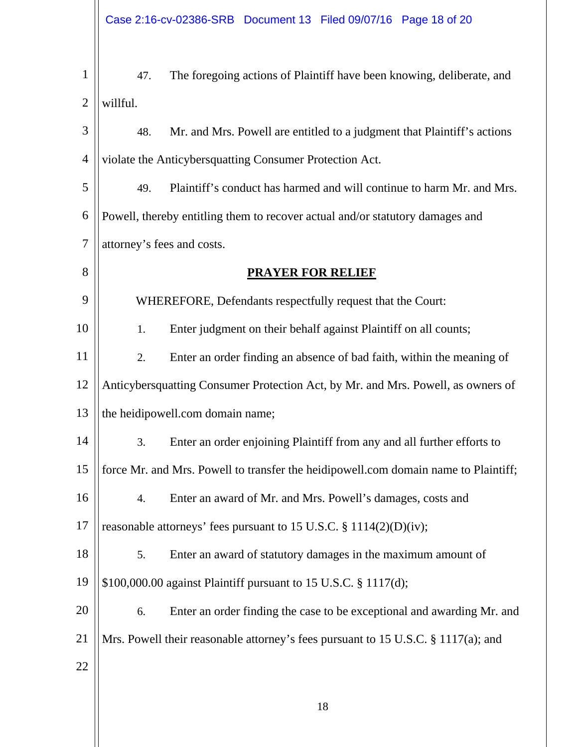| $\mathbf{1}$   | 47.      | The foregoing actions of Plaintiff have been knowing, deliberate, and               |
|----------------|----------|-------------------------------------------------------------------------------------|
| $\overline{2}$ | willful. |                                                                                     |
| 3              | 48.      | Mr. and Mrs. Powell are entitled to a judgment that Plaintiff's actions             |
| $\overline{4}$ |          | violate the Anticybersquatting Consumer Protection Act.                             |
| 5              | 49.      | Plaintiff's conduct has harmed and will continue to harm Mr. and Mrs.               |
| 6              |          | Powell, thereby entitling them to recover actual and/or statutory damages and       |
| $\overline{7}$ |          | attorney's fees and costs.                                                          |
| 8              |          | <b>PRAYER FOR RELIEF</b>                                                            |
| 9              |          | WHEREFORE, Defendants respectfully request that the Court:                          |
| 10             | 1.       | Enter judgment on their behalf against Plaintiff on all counts;                     |
| 11             | 2.       | Enter an order finding an absence of bad faith, within the meaning of               |
| 12             |          | Anticybersquatting Consumer Protection Act, by Mr. and Mrs. Powell, as owners of    |
| 13             |          | the heidipowell.com domain name;                                                    |
| 14             | 3.       | Enter an order enjoining Plaintiff from any and all further efforts to              |
| 15             |          | force Mr. and Mrs. Powell to transfer the heidipowell.com domain name to Plaintiff; |
| 16             | 4.       | Enter an award of Mr. and Mrs. Powell's damages, costs and                          |
| 17             |          | reasonable attorneys' fees pursuant to 15 U.S.C. § 1114(2)(D)(iv);                  |
| 18             | 5.       | Enter an award of statutory damages in the maximum amount of                        |
| 19             |          | \$100,000.00 against Plaintiff pursuant to 15 U.S.C. § 1117(d);                     |
| 20             | 6.       | Enter an order finding the case to be exceptional and awarding Mr. and              |
| 21             |          | Mrs. Powell their reasonable attorney's fees pursuant to 15 U.S.C. § 1117(a); and   |
| 22             |          |                                                                                     |
|                |          |                                                                                     |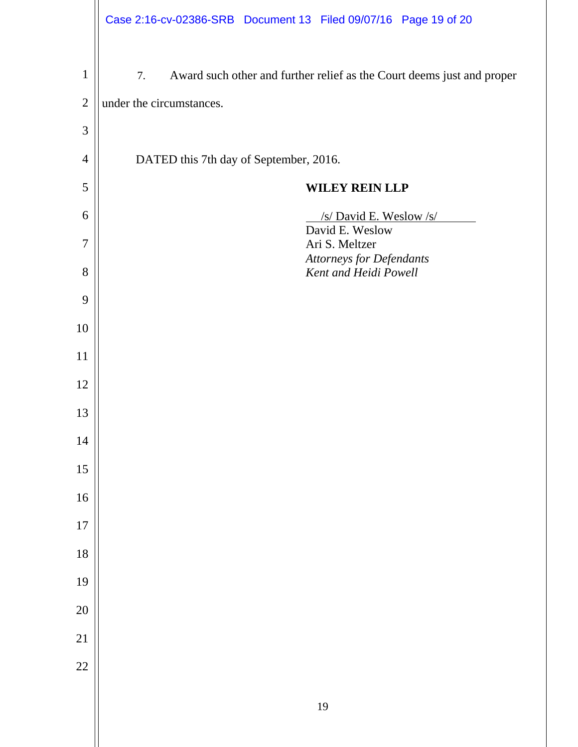|                | Case 2:16-cv-02386-SRB Document 13 Filed 09/07/16 Page 19 of 20              |
|----------------|------------------------------------------------------------------------------|
| $\mathbf{1}$   | Award such other and further relief as the Court deems just and proper<br>7. |
| $\overline{2}$ | under the circumstances.                                                     |
| $\mathfrak{Z}$ |                                                                              |
| $\overline{4}$ | DATED this 7th day of September, 2016.                                       |
| 5              | <b>WILEY REIN LLP</b>                                                        |
| 6              | /s/ David E. Weslow /s/<br>David E. Weslow                                   |
| 7              | Ari S. Meltzer                                                               |
| 8              | <b>Attorneys for Defendants</b><br>Kent and Heidi Powell                     |
| 9              |                                                                              |
| 10             |                                                                              |
| 11             |                                                                              |
| 12             |                                                                              |
| 13             |                                                                              |
| 14             |                                                                              |
| 15             |                                                                              |
| 16             |                                                                              |
| 17             |                                                                              |
| 18             |                                                                              |
| 19             |                                                                              |
| 20             |                                                                              |
| 21             |                                                                              |
| 22             |                                                                              |
|                | 19                                                                           |